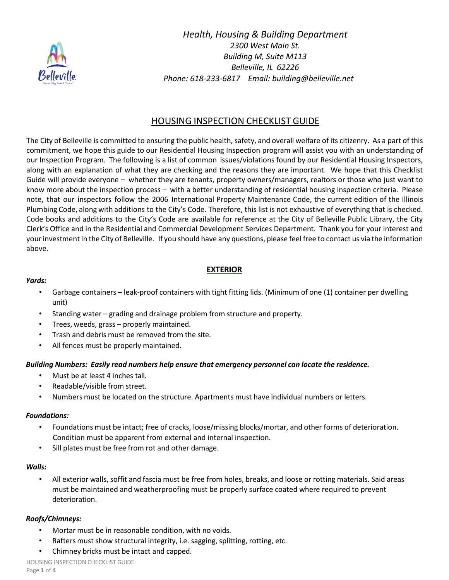

*Health, Housing & Building Department 2300 West Main St. Building M, Suite M113 Belleville, IL 62226 Phone: 618-233-6817 Email: building@belleville.net*

# HOUSING INSPECTION CHECKLIST GUIDE

The City of Belleville is committed to ensuring the public health, safety, and overall welfare of its citizenry. As a part of this commitment, we hope this guide to our Residential Housing Inspection program will assist you with an understanding of our Inspection Program. The following is a list of common issues/violations found by our Residential Housing Inspectors, along with an explanation of what they are checking and the reasons they are important. We hope that this Checklist Guide will provide everyone – whether they are tenants, property owners/managers, realtors or those who just want to know more about the inspection process – with a better understanding of residential housing inspection criteria. Please note, that our inspectors follow the 2006 International Property Maintenance Code, the current edition of the Illinois Plumbing Code, along with additions to the City's Code. Therefore, this list is not exhaustive of everything that is checked. Code books and additions to the City's Code are available for reference at the City of Belleville Public Library, the City Clerk's Office and in the Residential and Commercial Development Services Department. Thank you for your interest and your investment in the City of Belleville. If you should have any questions, please feel free to contact us via the information above.

## **EXTERIOR**

#### *Yards:*

- Garbage containers leak-proof containers with tight fitting lids. (Minimum of one (1) container per dwelling unit)
- Standing water grading and drainage problem from structure and property.
- Trees, weeds, grass properly maintained.
- Trash and debris must be removed from the site.
- All fences must be properly maintained.

#### *Building Numbers: Easily read numbers help ensure that emergency personnel can locate the residence.*

- Must be at least 4 inches tall.
- Readable/visible from street.
- Numbers must be located on the structure. Apartments must have individual numbers or letters.

#### *Foundations:*

- Foundations must be intact; free of cracks, loose/missing blocks/mortar, and other forms of deterioration. Condition must be apparent from external and internal inspection.
- Sill plates must be free from rot and other damage.

#### *Walls:*

• All exterior walls, soffit and fascia must be free from holes, breaks, and loose or rotting materials. Said areas must be maintained and weatherproofing must be properly surface coated where required to prevent deterioration.

#### *Roofs/Chimneys:*

- Mortar must be in reasonable condition, with no voids.
- Rafters must show structural integrity, i.e. sagging, splitting, rotting, etc.
- Chimney bricks must be intact and capped.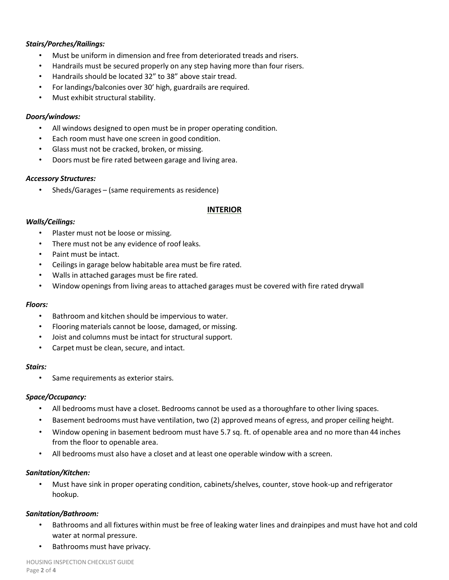#### *Stairs/Porches/Railings:*

- Must be uniform in dimension and free from deteriorated treads and risers.
- Handrails must be secured properly on any step having more than four risers.
- Handrails should be located 32" to 38" above stair tread.
- For landings/balconies over 30' high, guardrails are required.
- Must exhibit structural stability.

#### *Doors/windows:*

- All windows designed to open must be in proper operating condition.
- Each room must have one screen in good condition.
- Glass must not be cracked, broken, or missing.
- Doors must be fire rated between garage and living area.

#### *Accessory Structures:*

• Sheds/Garages – (same requirements as residence)

### **INTERIOR**

### *Walls/Ceilings:*

- Plaster must not be loose or missing.
- There must not be any evidence of roof leaks.
- Paint must be intact.
- Ceilings in garage below habitable area must be fire rated.
- Walls in attached garages must be fire rated.
- Window openings from living areas to attached garages must be covered with fire rated drywall

#### *Floors:*

- Bathroom and kitchen should be impervious to water.
- Flooring materials cannot be loose, damaged, or missing.
- Joist and columns must be intact for structural support.
- Carpet must be clean, secure, and intact.

#### *Stairs:*

• Same requirements as exterior stairs.

#### *Space/Occupancy:*

- All bedrooms must have a closet. Bedrooms cannot be used as a thoroughfare to other living spaces.
- Basement bedrooms must have ventilation, two (2) approved means of egress, and proper ceiling height.
- Window opening in basement bedroom must have 5.7 sq. ft. of openable area and no more than 44 inches from the floor to openable area.
- All bedrooms must also have a closet and at least one operable window with a screen.

#### *Sanitation/Kitchen:*

• Must have sink in proper operating condition, cabinets/shelves, counter, stove hook-up and refrigerator hookup.

### *Sanitation/Bathroom:*

- Bathrooms and all fixtures within must be free of leaking water lines and drainpipes and must have hot and cold water at normal pressure.
- Bathrooms must have privacy.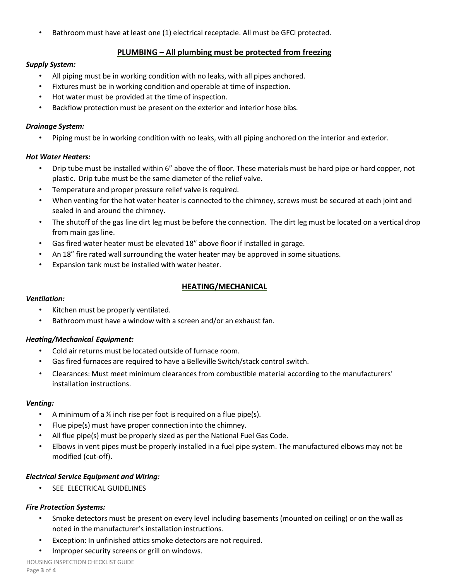Bathroom must have at least one (1) electrical receptacle. All must be GFCI protected.

## **PLUMBING – All plumbing must be protected from freezing**

### *Supply System:*

- All piping must be in working condition with no leaks, with all pipes anchored.
- Fixtures must be in working condition and operable at time of inspection.
- Hot water must be provided at the time of inspection.
- Backflow protection must be present on the exterior and interior hose bibs.

#### *Drainage System:*

• Piping must be in working condition with no leaks, with all piping anchored on the interior and exterior.

#### *Hot Water Heaters:*

- Drip tube must be installed within 6" above the of floor. These materials must be hard pipe or hard copper, not plastic. Drip tube must be the same diameter of the relief valve.
- Temperature and proper pressure relief valve is required.
- When venting for the hot water heater is connected to the chimney, screws must be secured at each joint and sealed in and around the chimney.
- The shutoff of the gas line dirt leg must be before the connection. The dirt leg must be located on a vertical drop from main gas line.
- Gas fired water heater must be elevated 18" above floor if installed in garage.
- An 18" fire rated wall surrounding the water heater may be approved in some situations.
- Expansion tank must be installed with water heater.

## **HEATING/MECHANICAL**

#### *Ventilation:*

- Kitchen must be properly ventilated.
- Bathroom must have a window with a screen and/or an exhaust fan.

#### *Heating/Mechanical Equipment:*

- Cold air returns must be located outside of furnace room.
- Gas fired furnaces are required to have a Belleville Switch/stack control switch.
- Clearances: Must meet minimum clearances from combustible material according to the manufacturers' installation instructions.

#### *Venting:*

- A minimum of a ¼ inch rise per foot is required on a flue pipe(s).
- Flue pipe(s) must have proper connection into the chimney.
- All flue pipe(s) must be properly sized as per the National Fuel Gas Code.
- Elbows in vent pipes must be properly installed in a fuel pipe system. The manufactured elbows may not be modified (cut-off).

#### *Electrical Service Equipment and Wiring:*

• SEE ELECTRICAL GUIDELINES

#### *Fire Protection Systems:*

- Smoke detectors must be present on every level including basements (mounted on ceiling) or on the wall as noted in the manufacturer's installation instructions.
- Exception: In unfinished attics smoke detectors are not required.
- Improper security screens or grill on windows.